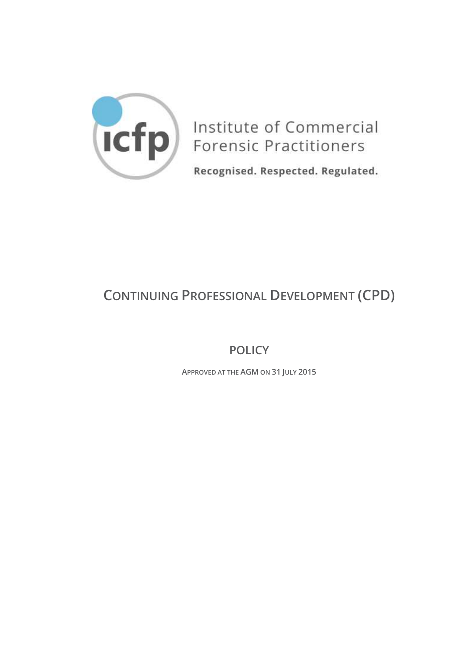

Institute of Commercial **Forensic Practitioners** 

Recognised. Respected. Regulated.

# **CONTINUING PROFESSIONAL DEVELOPMENT (CPD)**

**POLICY**

**APPROVED AT THE AGM ON 31 JULY 2015**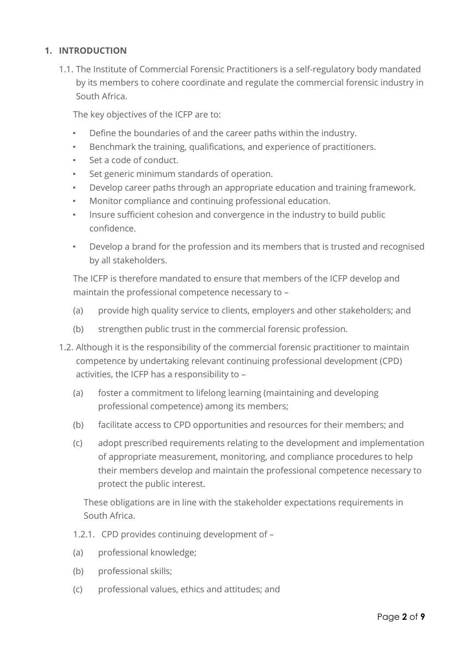# <span id="page-1-0"></span>**1. INTRODUCTION**

1.1. The Institute of Commercial Forensic Practitioners is a self-regulatory body mandated by its members to cohere coordinate and regulate the commercial forensic industry in South Africa.

The key objectives of the ICFP are to:

- Define the boundaries of and the career paths within the industry.
- Benchmark the training, qualifications, and experience of practitioners.
- Set a code of conduct.
- Set generic minimum standards of operation.
- Develop career paths through an appropriate education and training framework.
- Monitor compliance and continuing professional education.
- Insure sufficient cohesion and convergence in the industry to build public confidence.
- Develop a brand for the profession and its members that is trusted and recognised by all stakeholders.

The ICFP is therefore mandated to ensure that members of the ICFP develop and maintain the professional competence necessary to –

- (a) provide high quality service to clients, employers and other stakeholders; and
- (b) strengthen public trust in the commercial forensic profession.
- 1.2. Although it is the responsibility of the commercial forensic practitioner to maintain competence by undertaking relevant continuing professional development (CPD) activities, the ICFP has a responsibility to –
	- (a) foster a commitment to lifelong learning (maintaining and developing professional competence) among its members;
	- (b) facilitate access to CPD opportunities and resources for their members; and
	- (c) adopt prescribed requirements relating to the development and implementation of appropriate measurement, monitoring, and compliance procedures to help their members develop and maintain the professional competence necessary to protect the public interest.

These obligations are in line with the stakeholder expectations requirements in South Africa.

- 1.2.1. CPD provides continuing development of –
- (a) professional knowledge;
- (b) professional skills;
- (c) professional values, ethics and attitudes; and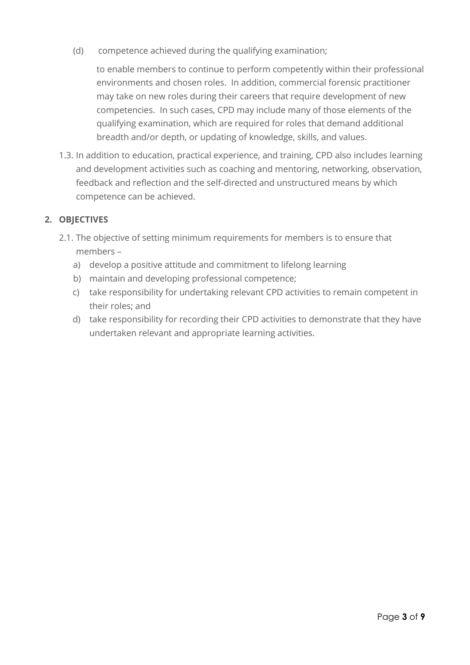(d) competence achieved during the qualifying examination;

to enable members to continue to perform competently within their professional environments and chosen roles. In addition, commercial forensic practitioner may take on new roles during their careers that require development of new competencies. In such cases, CPD may include many of those elements of the qualifying examination, which are required for roles that demand additional breadth and/or depth, or updating of knowledge, skills, and values.

1.3. In addition to education, practical experience, and training, CPD also includes learning and development activities such as coaching and mentoring, networking, observation, feedback and reflection and the self-directed and unstructured means by which competence can be achieved.

# <span id="page-2-0"></span>**2. OBJECTIVES**

- 2.1. The objective of setting minimum requirements for members is to ensure that members –
	- a) develop a positive attitude and commitment to lifelong learning
	- b) maintain and developing professional competence;
	- c) take responsibility for undertaking relevant CPD activities to remain competent in their roles; and
	- d) take responsibility for recording their CPD activities to demonstrate that they have undertaken relevant and appropriate learning activities.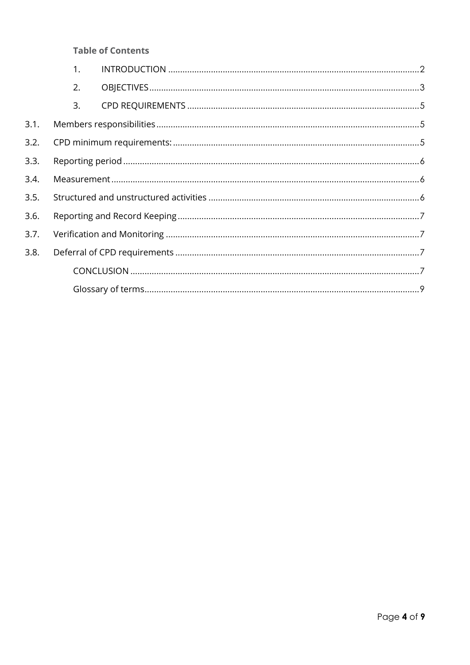## **Table of Contents**

|      | 1. |  |  |  |  |
|------|----|--|--|--|--|
|      | 2. |  |  |  |  |
|      | 3. |  |  |  |  |
| 3.1. |    |  |  |  |  |
| 3.2. |    |  |  |  |  |
| 3.3. |    |  |  |  |  |
| 3.4. |    |  |  |  |  |
| 3.5. |    |  |  |  |  |
| 3.6. |    |  |  |  |  |
| 3.7. |    |  |  |  |  |
| 3.8. |    |  |  |  |  |
|      |    |  |  |  |  |
|      |    |  |  |  |  |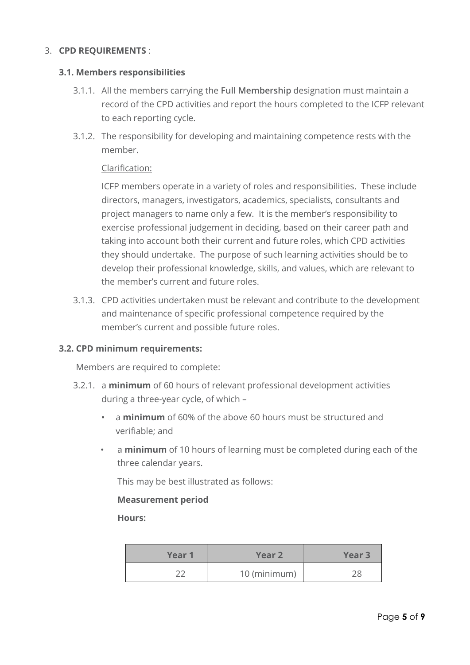## <span id="page-4-0"></span>3. **CPD REQUIREMENTS** :

## <span id="page-4-1"></span>**3.1. Members responsibilities**

- 3.1.1. All the members carrying the **Full Membership** designation must maintain a record of the CPD activities and report the hours completed to the ICFP relevant to each reporting cycle.
- 3.1.2. The responsibility for developing and maintaining competence rests with the member.

## Clarification:

ICFP members operate in a variety of roles and responsibilities. These include directors, managers, investigators, academics, specialists, consultants and project managers to name only a few. It is the member's responsibility to exercise professional judgement in deciding, based on their career path and taking into account both their current and future roles, which CPD activities they should undertake. The purpose of such learning activities should be to develop their professional knowledge, skills, and values, which are relevant to the member's current and future roles.

3.1.3. CPD activities undertaken must be relevant and contribute to the development and maintenance of specific professional competence required by the member's current and possible future roles.

## <span id="page-4-2"></span>**3.2. CPD minimum requirements:**

Members are required to complete:

- 3.2.1. a **minimum** of 60 hours of relevant professional development activities during a three-year cycle, of which –
	- a **minimum** of 60% of the above 60 hours must be structured and verifiable; and
	- a **minimum** of 10 hours of learning must be completed during each of the three calendar years.

This may be best illustrated as follows:

#### **Measurement period**

**Hours:**

| Year 1 | Year 2       | Year <sub>3</sub> |
|--------|--------------|-------------------|
|        | 10 (minimum) |                   |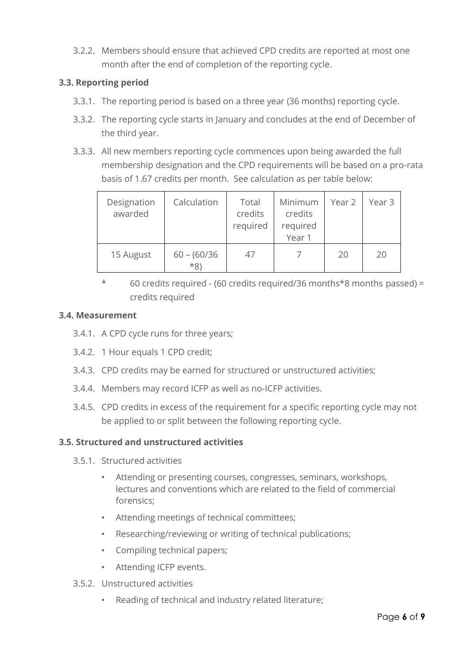3.2.2. Members should ensure that achieved CPD credits are reported at most one month after the end of completion of the reporting cycle.

# <span id="page-5-0"></span>**3.3. Reporting period**

- 3.3.1. The reporting period is based on a three year (36 months) reporting cycle.
- 3.3.2. The reporting cycle starts in January and concludes at the end of December of the third year.
- 3.3.3. All new members reporting cycle commences upon being awarded the full membership designation and the CPD requirements will be based on a pro-rata basis of 1.67 credits per month. See calculation as per table below:

| Designation<br>awarded | Calculation             | Total<br>credits<br>required | Minimum<br>credits<br>required<br>Year 1 | Year 2 | Year 3 |
|------------------------|-------------------------|------------------------------|------------------------------------------|--------|--------|
| 15 August              | $60 - (60/36)$<br>$*8)$ | 47                           |                                          | 20     | 20     |

\* 60 credits required - (60 credits required/36 months\*8 months passed) = credits required

# <span id="page-5-1"></span>**3.4. Measurement**

- 3.4.1. A CPD cycle runs for three years;
- 3.4.2. 1 Hour equals 1 CPD credit;
- 3.4.3. CPD credits may be earned for structured or unstructured activities;
- 3.4.4. Members may record ICFP as well as no-ICFP activities.
- 3.4.5. CPD credits in excess of the requirement for a specific reporting cycle may not be applied to or split between the following reporting cycle.

# <span id="page-5-2"></span>**3.5. Structured and unstructured activities**

- 3.5.1. Structured activities
	- Attending or presenting courses, congresses, seminars, workshops, lectures and conventions which are related to the field of commercial forensics;
	- Attending meetings of technical committees;
	- Researching/reviewing or writing of technical publications;
	- Compiling technical papers;
	- Attending ICFP events.
- 3.5.2. Unstructured activities
	- Reading of technical and industry related literature;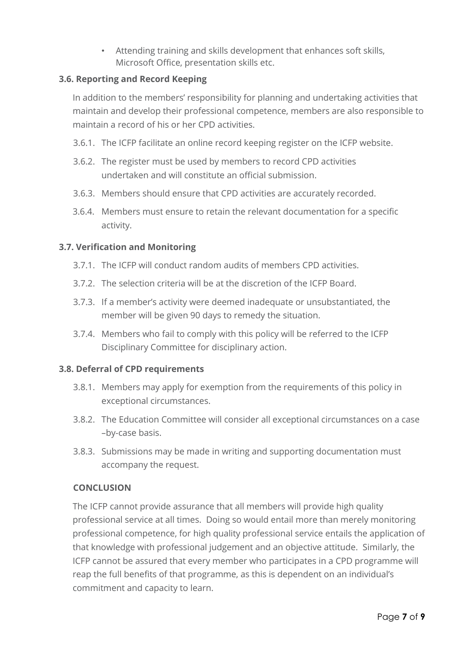• Attending training and skills development that enhances soft skills, Microsoft Office, presentation skills etc.

# <span id="page-6-0"></span>**3.6. Reporting and Record Keeping**

In addition to the members' responsibility for planning and undertaking activities that maintain and develop their professional competence, members are also responsible to maintain a record of his or her CPD activities.

- 3.6.1. The ICFP facilitate an online record keeping register on the ICFP website.
- 3.6.2. The register must be used by members to record CPD activities undertaken and will constitute an official submission.
- 3.6.3. Members should ensure that CPD activities are accurately recorded.
- 3.6.4. Members must ensure to retain the relevant documentation for a specific activity.

# <span id="page-6-1"></span>**3.7. Verification and Monitoring**

- 3.7.1. The ICFP will conduct random audits of members CPD activities.
- 3.7.2. The selection criteria will be at the discretion of the ICFP Board.
- 3.7.3. If a member's activity were deemed inadequate or unsubstantiated, the member will be given 90 days to remedy the situation.
- 3.7.4. Members who fail to comply with this policy will be referred to the ICFP Disciplinary Committee for disciplinary action.

## <span id="page-6-2"></span>**3.8. Deferral of CPD requirements**

- 3.8.1. Members may apply for exemption from the requirements of this policy in exceptional circumstances.
- 3.8.2. The Education Committee will consider all exceptional circumstances on a case –by-case basis.
- 3.8.3. Submissions may be made in writing and supporting documentation must accompany the request.

## <span id="page-6-3"></span>**CONCLUSION**

The ICFP cannot provide assurance that all members will provide high quality professional service at all times. Doing so would entail more than merely monitoring professional competence, for high quality professional service entails the application of that knowledge with professional judgement and an objective attitude. Similarly, the ICFP cannot be assured that every member who participates in a CPD programme will reap the full benefits of that programme, as this is dependent on an individual's commitment and capacity to learn.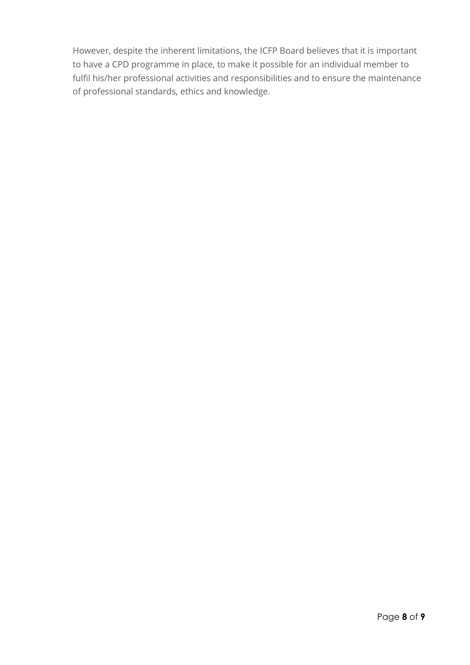However, despite the inherent limitations, the ICFP Board believes that it is important to have a CPD programme in place, to make it possible for an individual member to fulfil his/her professional activities and responsibilities and to ensure the maintenance of professional standards, ethics and knowledge.